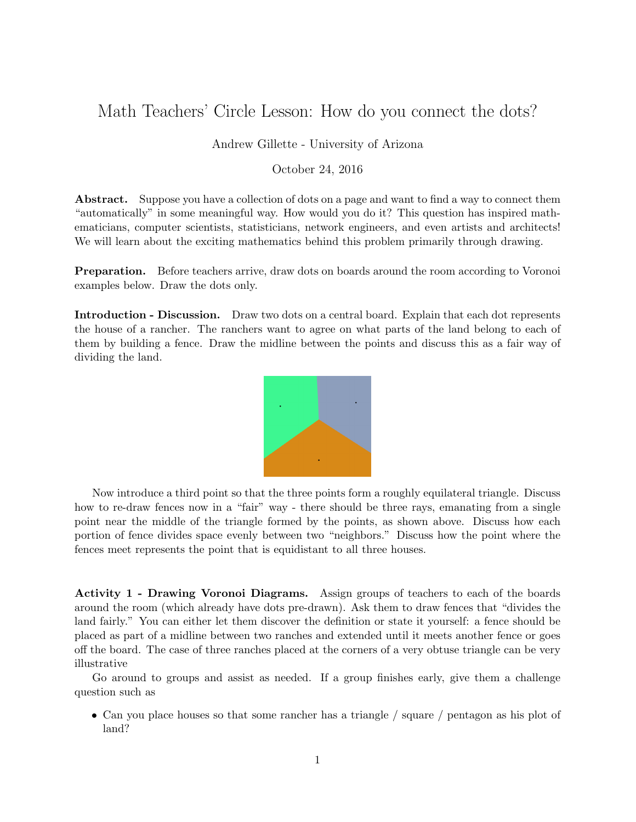## Math Teachers' Circle Lesson: How do you connect the dots?

## Andrew Gillette - University of Arizona

## October 24, 2016

Abstract. Suppose you have a collection of dots on a page and want to find a way to connect them "automatically" in some meaningful way. How would you do it? This question has inspired mathematicians, computer scientists, statisticians, network engineers, and even artists and architects! We will learn about the exciting mathematics behind this problem primarily through drawing.

**Preparation.** Before teachers arrive, draw dots on boards around the room according to Voronoi examples below. Draw the dots only.

Introduction - Discussion. Draw two dots on a central board. Explain that each dot represents the house of a rancher. The ranchers want to agree on what parts of the land belong to each of them by building a fence. Draw the midline between the points and discuss this as a fair way of dividing the land.



Now introduce a third point so that the three points form a roughly equilateral triangle. Discuss how to re-draw fences now in a "fair" way - there should be three rays, emanating from a single point near the middle of the triangle formed by the points, as shown above. Discuss how each portion of fence divides space evenly between two "neighbors." Discuss how the point where the fences meet represents the point that is equidistant to all three houses.

Activity 1 - Drawing Voronoi Diagrams. Assign groups of teachers to each of the boards around the room (which already have dots pre-drawn). Ask them to draw fences that "divides the land fairly." You can either let them discover the definition or state it yourself: a fence should be placed as part of a midline between two ranches and extended until it meets another fence or goes off the board. The case of three ranches placed at the corners of a very obtuse triangle can be very illustrative

Go around to groups and assist as needed. If a group finishes early, give them a challenge question such as

• Can you place houses so that some rancher has a triangle / square / pentagon as his plot of land?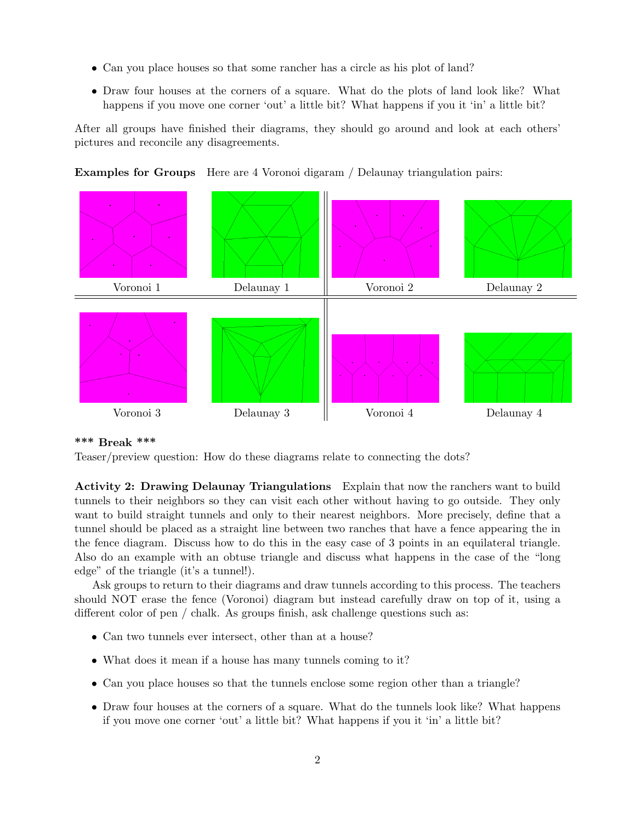- Can you place houses so that some rancher has a circle as his plot of land?
- Draw four houses at the corners of a square. What do the plots of land look like? What happens if you move one corner 'out' a little bit? What happens if you it 'in' a little bit?

After all groups have finished their diagrams, they should go around and look at each others' pictures and reconcile any disagreements.





## \*\*\* Break \*\*\*

Teaser/preview question: How do these diagrams relate to connecting the dots?

Activity 2: Drawing Delaunay Triangulations Explain that now the ranchers want to build tunnels to their neighbors so they can visit each other without having to go outside. They only want to build straight tunnels and only to their nearest neighbors. More precisely, define that a tunnel should be placed as a straight line between two ranches that have a fence appearing the in the fence diagram. Discuss how to do this in the easy case of 3 points in an equilateral triangle. Also do an example with an obtuse triangle and discuss what happens in the case of the "long edge" of the triangle (it's a tunnel!).

Ask groups to return to their diagrams and draw tunnels according to this process. The teachers should NOT erase the fence (Voronoi) diagram but instead carefully draw on top of it, using a different color of pen / chalk. As groups finish, ask challenge questions such as:

- Can two tunnels ever intersect, other than at a house?
- What does it mean if a house has many tunnels coming to it?
- Can you place houses so that the tunnels enclose some region other than a triangle?
- Draw four houses at the corners of a square. What do the tunnels look like? What happens if you move one corner 'out' a little bit? What happens if you it 'in' a little bit?